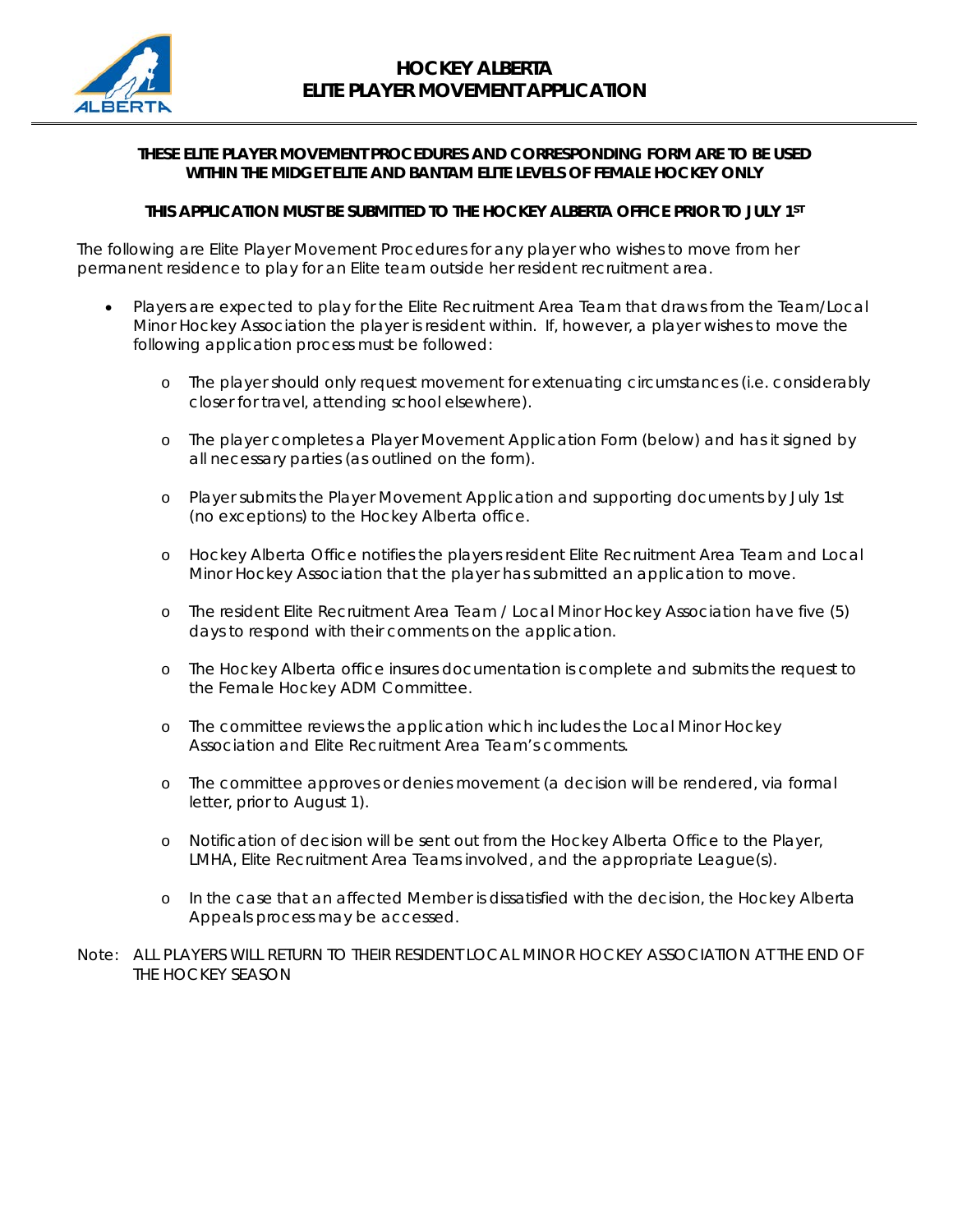

## **THESE ELITE PLAYER MOVEMENT PROCEDURES AND CORRESPONDING FORM ARE TO BE USED WITHIN THE MIDGET ELITE AND BANTAM ELITE LEVELS OF FEMALE HOCKEY ONLY**

## **THIS APPLICATION MUST BE SUBMITTED TO THE HOCKEY ALBERTA OFFICE PRIOR TO JULY 1ST**

The following are Elite Player Movement Procedures for any player who wishes to move from her permanent residence to play for an Elite team outside her resident recruitment area.

- Players are expected to play for the Elite Recruitment Area Team that draws from the Team/Local Minor Hockey Association the player is resident within. If, however, a player wishes to move the following application process must be followed:
	- o The player should only request movement for extenuating circumstances (i.e. considerably closer for travel, attending school elsewhere).
	- o The player completes a Player Movement Application Form (below) and has it signed by all necessary parties (as outlined on the form).
	- o Player submits the Player Movement Application and supporting documents by July 1st (no exceptions) to the Hockey Alberta office.
	- o Hockey Alberta Office notifies the players resident Elite Recruitment Area Team and Local Minor Hockey Association that the player has submitted an application to move.
	- o The resident Elite Recruitment Area Team / Local Minor Hockey Association have five (5) days to respond with their comments on the application.
	- o The Hockey Alberta office insures documentation is complete and submits the request to the Female Hockey ADM Committee.
	- o The committee reviews the application which includes the Local Minor Hockey Association and Elite Recruitment Area Team's comments.
	- o The committee approves or denies movement (a decision will be rendered, via formal letter, prior to August 1).
	- o Notification of decision will be sent out from the Hockey Alberta Office to the Player, LMHA, Elite Recruitment Area Teams involved, and the appropriate League(s).
	- o In the case that an affected Member is dissatisfied with the decision, the Hockey Alberta Appeals process may be accessed.
- Note: ALL PLAYERS WILL RETURN TO THEIR RESIDENT LOCAL MINOR HOCKEY ASSOCIATION AT THE END OF THE HOCKEY SEASON